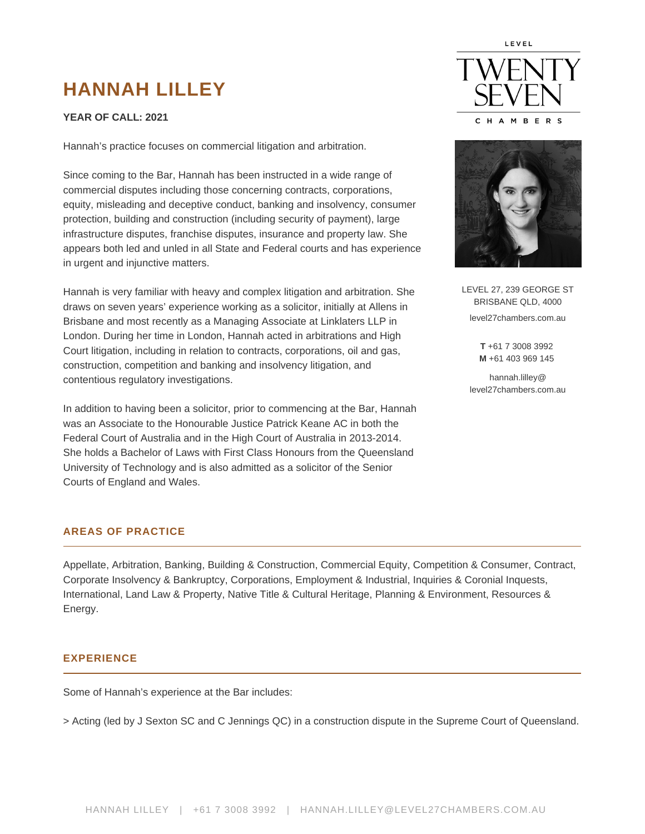# **HANNAH LILLEY**

# **YEAR OF CALL: 2021**

Hannah's practice focuses on commercial litigation and arbitration.

Since coming to the Bar, Hannah has been instructed in a wide range of commercial disputes including those concerning contracts, corporations, equity, misleading and deceptive conduct, banking and insolvency, consumer protection, building and construction (including security of payment), large infrastructure disputes, franchise disputes, insurance and property law. She appears both led and unled in all State and Federal courts and has experience in urgent and injunctive matters.

Hannah is very familiar with heavy and complex litigation and arbitration. She draws on seven years' experience working as a solicitor, initially at Allens in Brisbane and most recently as a Managing Associate at Linklaters LLP in London. During her time in London, Hannah acted in arbitrations and High Court litigation, including in relation to contracts, corporations, oil and gas, construction, competition and banking and insolvency litigation, and contentious regulatory investigations.

In addition to having been a solicitor, prior to commencing at the Bar, Hannah was an Associate to the Honourable Justice Patrick Keane AC in both the Federal Court of Australia and in the High Court of Australia in 2013-2014. She holds a Bachelor of Laws with First Class Honours from the Queensland University of Technology and is also admitted as a solicitor of the Senior Courts of England and Wales.

#### **AREAS OF PRACTICE**

Appellate, Arbitration, Banking, Building & Construction, Commercial Equity, Competition & Consumer, Contract, Corporate Insolvency & Bankruptcy, Corporations, Employment & Industrial, Inquiries & Coronial Inquests, International, Land Law & Property, Native Title & Cultural Heritage, Planning & Environment, Resources & Energy.

# **EXPERIENCE**

Some of Hannah's experience at the Bar includes:

> Acting (led by J Sexton SC and C Jennings QC) in a construction dispute in the Supreme Court of Queensland.





LEVEL 27, 239 GEORGE ST BRISBANE QLD, 4000 level27chambers.com.au

> **T** +61 7 3008 3992 **M** +61 403 969 145

hannah.lilley@ level27chambers.com.au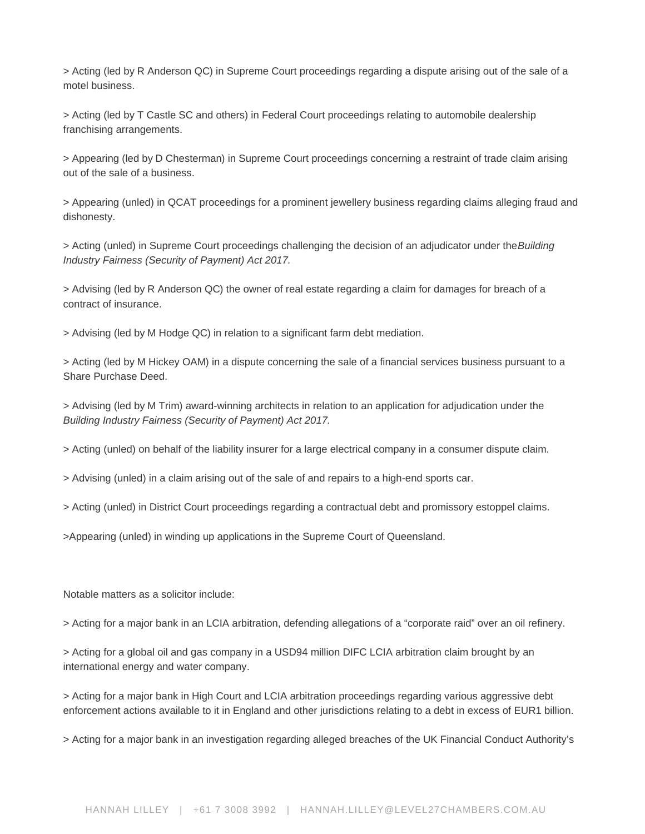> Acting (led by [R Anderson QC\)](https://www.level27chambers.com.au/barristers/rob-anderson/) in Supreme Court proceedings regarding a dispute arising out of the sale of a motel business.

> Acting (led by T Castle SC and others) in Federal Court proceedings relating to automobile dealership franchising arrangements.

> Appearing (led by [D Chesterman](https://www.level27chambers.com.au/barristers/david-chesterman/)) in Supreme Court proceedings concerning a restraint of trade claim arising out of the sale of a business.

> Appearing (unled) in QCAT proceedings for a prominent jewellery business regarding claims alleging fraud and dishonesty.

> Acting (unled) in Supreme Court proceedings challenging the decision of an adjudicator under the Building Industry Fairness (Security of Payment) Act 2017.

> Advising (led by [R Anderson QC\)](https://www.level27chambers.com.au/barristers/rob-anderson/) the owner of real estate regarding a claim for damages for breach of a contract of insurance.

> Advising (led by [M Hodge QC\)](https://www.level27chambers.com.au/barristers/michael-hodge-qc/) in relation to a significant farm debt mediation.

> Acting (led by [M Hickey OAM](https://www.level27chambers.com.au/barristers/matthew-hickey/)) in a dispute concerning the sale of a financial services business pursuant to a Share Purchase Deed.

> Advising (led by [M Trim](https://www.level27chambers.com.au/barristers/michael-trim/)) award-winning architects in relation to an application for adjudication under the Building Industry Fairness (Security of Payment) Act 2017.

> Acting (unled) on behalf of the liability insurer for a large electrical company in a consumer dispute claim.

> Advising (unled) in a claim arising out of the sale of and repairs to a high-end sports car.

> Acting (unled) in District Court proceedings regarding a contractual debt and promissory estoppel claims.

>Appearing (unled) in winding up applications in the Supreme Court of Queensland.

Notable matters as a solicitor include:

> Acting for a major bank in an LCIA arbitration, defending allegations of a "corporate raid" over an oil refinery.

> Acting for a global oil and gas company in a USD94 million DIFC LCIA arbitration claim brought by an international energy and water company.

> Acting for a major bank in High Court and LCIA arbitration proceedings regarding various aggressive debt enforcement actions available to it in England and other jurisdictions relating to a debt in excess of EUR1 billion.

> Acting for a major bank in an investigation regarding alleged breaches of the UK Financial Conduct Authority's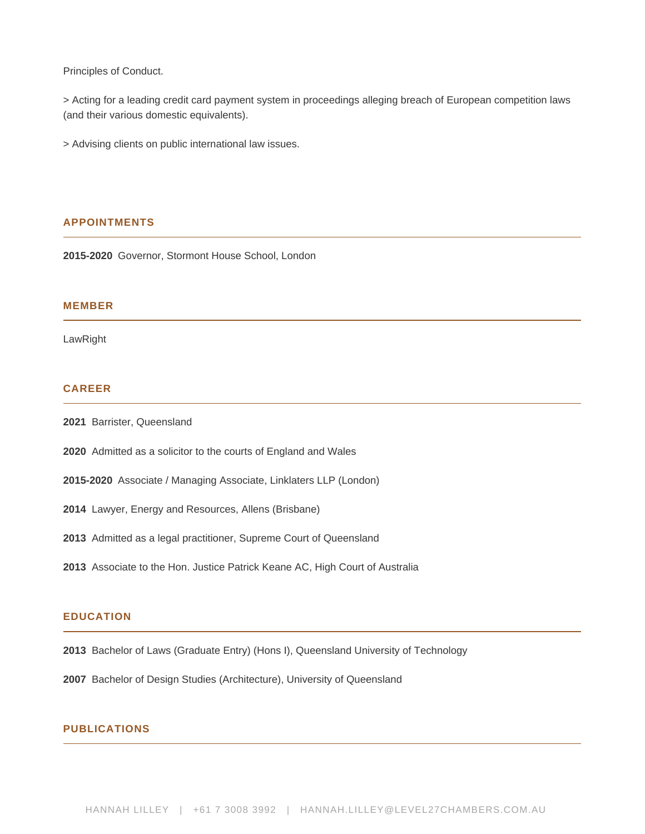Principles of Conduct.

> Acting for a leading credit card payment system in proceedings alleging breach of European competition laws (and their various domestic equivalents).

> Advising clients on public international law issues.

#### **APPOINTMENTS**

**2015-2020** Governor, Stormont House School, London

#### **MEMBER**

LawRight

# **CAREER**

- **2021** Barrister, Queensland
- **2020** Admitted as a solicitor to the courts of England and Wales
- **2015-2020** Associate / Managing Associate, Linklaters LLP (London)
- **2014** Lawyer, Energy and Resources, Allens (Brisbane)
- **2013** Admitted as a legal practitioner, Supreme Court of Queensland
- **2013** Associate to the Hon. Justice Patrick Keane AC, High Court of Australia

#### **EDUCATION**

- **2013** Bachelor of Laws (Graduate Entry) (Hons I), Queensland University of Technology
- **2007** Bachelor of Design Studies (Architecture), University of Queensland

#### **PUBLICATIONS**